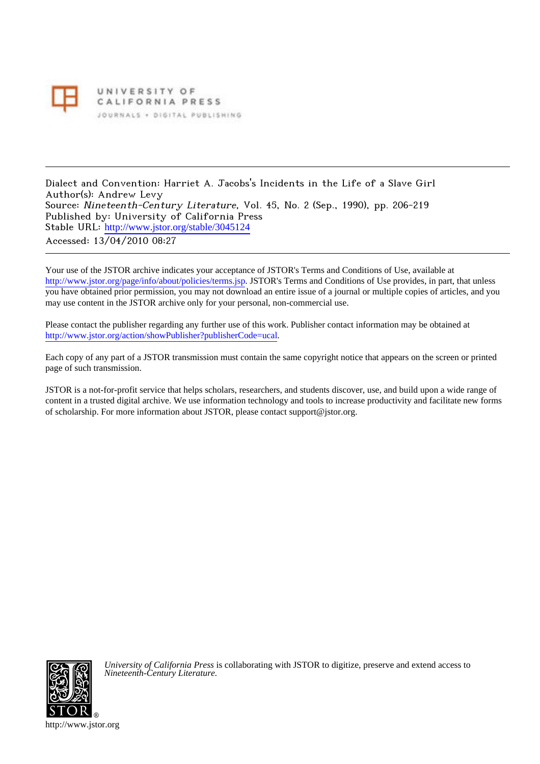

UNIVERSITY OF CALIFORNIA PRESS JOURNALS . DIGITAL PUBLISHING

Dialect and Convention: Harriet A. Jacobs's Incidents in the Life of a Slave Girl Author(s): Andrew Levy Source: Nineteenth-Century Literature, Vol. 45, No. 2 (Sep., 1990), pp. 206-219 Published by: University of California Press Stable URL: [http://www.jstor.org/stable/3045124](http://www.jstor.org/stable/3045124?origin=JSTOR-pdf) Accessed: 13/04/2010 08:27

Your use of the JSTOR archive indicates your acceptance of JSTOR's Terms and Conditions of Use, available at <http://www.jstor.org/page/info/about/policies/terms.jsp>. JSTOR's Terms and Conditions of Use provides, in part, that unless you have obtained prior permission, you may not download an entire issue of a journal or multiple copies of articles, and you may use content in the JSTOR archive only for your personal, non-commercial use.

Please contact the publisher regarding any further use of this work. Publisher contact information may be obtained at [http://www.jstor.org/action/showPublisher?publisherCode=ucal.](http://www.jstor.org/action/showPublisher?publisherCode=ucal)

Each copy of any part of a JSTOR transmission must contain the same copyright notice that appears on the screen or printed page of such transmission.

JSTOR is a not-for-profit service that helps scholars, researchers, and students discover, use, and build upon a wide range of content in a trusted digital archive. We use information technology and tools to increase productivity and facilitate new forms of scholarship. For more information about JSTOR, please contact support@jstor.org.



*University of California Press* is collaborating with JSTOR to digitize, preserve and extend access to *Nineteenth-Century Literature.*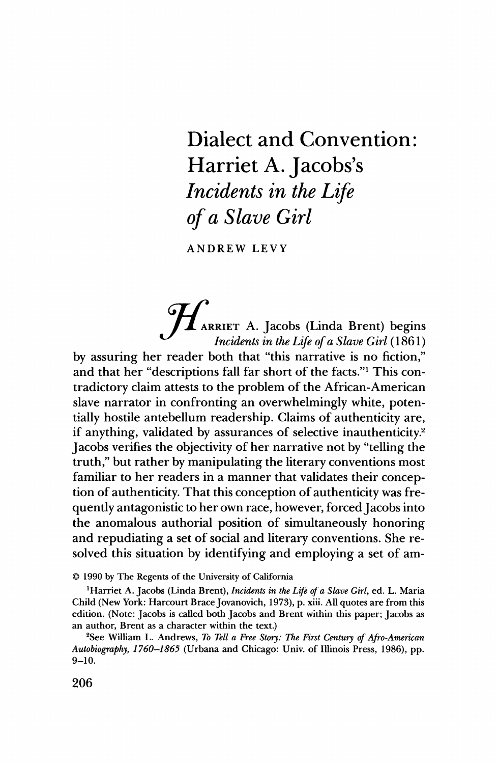## **Dialect and Convention:** Harriet A. Jacobs's Incidents in the Life of a Slave Girl

**ANDREW LEVY** 

HARRIET A. Jacobs (Linda Brent) begins Incidents in the Life of a Slave Girl (1861) by assuring her reader both that "this narrative is no fiction," and that her "descriptions fall far short of the facts." This contradictory claim attests to the problem of the African-American slave narrator in confronting an overwhelmingly white, potentially hostile antebellum readership. Claims of authenticity are, if anything, validated by assurances of selective inauthenticity.<sup>2</sup> Jacobs verifies the objectivity of her narrative not by "telling the truth," but rather by manipulating the literary conventions most familiar to her readers in a manner that validates their conception of authenticity. That this conception of authenticity was frequently antagonistic to her own race, however, forced Jacobs into the anomalous authorial position of simultaneously honoring and repudiating a set of social and literary conventions. She resolved this situation by identifying and employing a set of am-

© 1990 by The Regents of the University of California

<sup>1</sup>Harriet A. Jacobs (Linda Brent), Incidents in the Life of a Slave Girl, ed. L. Maria Child (New York: Harcourt Brace Jovanovich, 1973), p. xiii. All quotes are from this edition. (Note: Jacobs is called both Jacobs and Brent within this paper; Jacobs as an author, Brent as a character within the text.)

<sup>2</sup>See William L. Andrews, To Tell a Free Story: The First Century of Afro-American Autobiography, 1760–1865 (Urbana and Chicago: Univ. of Illinois Press, 1986), pp.  $9 - 10.$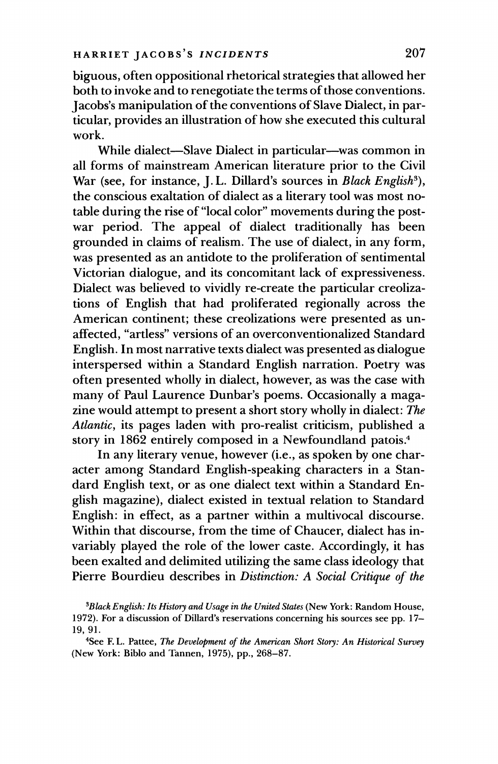biguous, often oppositional rhetorical strategies that allowed her both to invoke and to renegotiate the terms of those conventions. Jacobs's manipulation of the conventions of Slave Dialect, in particular, provides an illustration of how she executed this cultural work.

While dialect-Slave Dialect in particular--was common in all forms of mainstream American literature prior to the Civil War (see, for instance, J.L. Dillard's sources in Black English<sup>3</sup>), the conscious exaltation of dialect as a literary tool was most notable during the rise of "local color" movements during the postwar period. The appeal of dialect traditionally has been grounded in claims of realism. The use of dialect, in any form, was presented as an antidote to the proliferation of sentimental Victorian dialogue, and its concomitant lack of expressiveness. Dialect was believed to vividly re-create the particular creolizations of English that had proliferated regionally across the American continent; these creolizations were presented as unaffected, "artless" versions of an overconventionalized Standard English. In most narrative texts dialect was presented as dialogue interspersed within a Standard English narration. Poetry was often presented wholly in dialect, however, as was the case with many of Paul Laurence Dunbar's poems. Occasionally a magazine would attempt to present a short story wholly in dialect: The Atlantic, its pages laden with pro-realist criticism, published a story in 1862 entirely composed in a Newfoundland patois.<sup>4</sup>

In any literary venue, however (i.e., as spoken by one character among Standard English-speaking characters in a Standard English text, or as one dialect text within a Standard English magazine), dialect existed in textual relation to Standard English: in effect, as a partner within a multivocal discourse. Within that discourse, from the time of Chaucer, dialect has invariably played the role of the lower caste. Accordingly, it has been exalted and delimited utilizing the same class ideology that Pierre Bourdieu describes in *Distinction: A Social Critique of the* 

<sup>4</sup>See F.L. Pattee, The Development of the American Short Story: An Historical Survey (New York: Biblo and Tannen, 1975), pp., 268-87.

<sup>&</sup>lt;sup>3</sup>Black English: Its History and Usage in the United States (New York: Random House, 1972). For a discussion of Dillard's reservations concerning his sources see pp. 17-19.91.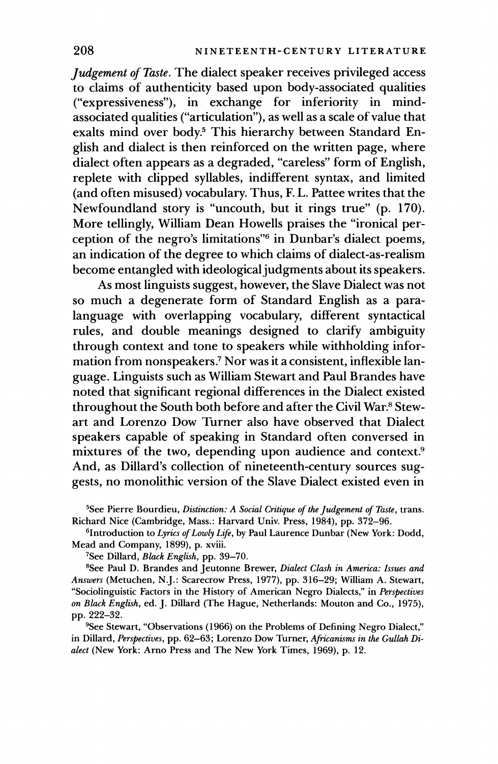Judgement of Taste. The dialect speaker receives privileged access to claims of authenticity based upon body-associated qualities ("expressiveness"), in exchange for inferiority in mindassociated qualities ("articulation"), as well as a scale of value that exalts mind over body.<sup>5</sup> This hierarchy between Standard English and dialect is then reinforced on the written page, where dialect often appears as a degraded, "careless" form of English, replete with clipped syllables, indifferent syntax, and limited (and often misused) vocabulary. Thus, F. L. Pattee writes that the Newfoundland story is "uncouth, but it rings true" (p. 170). More tellingly, William Dean Howells praises the "ironical perception of the negro's limitations"<sup>6</sup> in Dunbar's dialect poems, an indication of the degree to which claims of dialect-as-realism become entangled with ideological judgments about its speakers.

As most linguists suggest, however, the Slave Dialect was not so much a degenerate form of Standard English as a paralanguage with overlapping vocabulary, different syntactical rules, and double meanings designed to clarify ambiguity through context and tone to speakers while withholding information from nonspeakers.<sup>7</sup> Nor was it a consistent, inflexible language. Linguists such as William Stewart and Paul Brandes have noted that significant regional differences in the Dialect existed throughout the South both before and after the Civil War.<sup>8</sup> Stewart and Lorenzo Dow Turner also have observed that Dialect speakers capable of speaking in Standard often conversed in mixtures of the two, depending upon audience and context.<sup>9</sup><br>And, as Dillard's collection of nineteenth-century sources suggests, no monolithic version of the Slave Dialect existed even in

<sup>5</sup>See Pierre Bourdieu, Distinction: A Social Critique of the Judgement of Taste, trans. Richard Nice (Cambridge, Mass.: Harvard Univ. Press, 1984), pp. 372-96.

<sup>6</sup>Introduction to Lyrics of Lowly Life, by Paul Laurence Dunbar (New York: Dodd, Mead and Company, 1899), p. xviii.

<sup>7</sup>See Dillard, Black English, pp. 39-70.

<sup>8</sup>See Paul D. Brandes and Jeutonne Brewer, Dialect Clash in America: Issues and Answers (Metuchen, N.J.: Scarecrow Press, 1977), pp. 316-29; William A. Stewart, "Sociolinguistic Factors in the History of American Negro Dialects," in Perspectives on Black English, ed. J. Dillard (The Hague, Netherlands: Mouton and Co., 1975), pp. 222-32.

<sup>9</sup>See Stewart, "Observations (1966) on the Problems of Defining Negro Dialect," in Dillard, Perspectives, pp. 62-63; Lorenzo Dow Turner, Africanisms in the Gullah Dialect (New York: Arno Press and The New York Times, 1969), p. 12.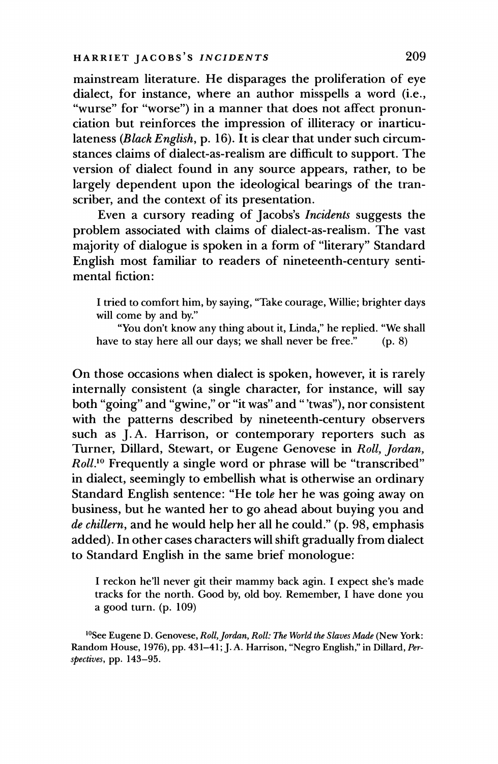mainstream literature. He disparages the proliferation of eye dialect, for instance, where an author misspells a word (i.e., "wurse" for "worse") in a manner that does not affect pronunciation but reinforces the impression of illiteracy or inarticulateness (Black English, p. 16). It is clear that under such circumstances claims of dialect-as-realism are difficult to support. The version of dialect found in any source appears, rather, to be largely dependent upon the ideological bearings of the transcriber, and the context of its presentation.

Even a cursory reading of Jacobs's Incidents suggests the problem associated with claims of dialect-as-realism. The vast majority of dialogue is spoken in a form of "literary" Standard English most familiar to readers of nineteenth-century sentimental fiction:

I tried to comfort him, by saying, "Take courage, Willie; brighter days will come by and by."

"You don't know any thing about it, Linda," he replied. "We shall have to stay here all our days; we shall never be free."  $(p. 8)$ 

On those occasions when dialect is spoken, however, it is rarely internally consistent (a single character, for instance, will say both "going" and "gwine," or "it was" and "'twas"), nor consistent with the patterns described by nineteenth-century observers such as J.A. Harrison, or contemporary reporters such as Turner, Dillard, Stewart, or Eugene Genovese in Roll, Jordan, *Roll*.<sup>10</sup> Frequently a single word or phrase will be "transcribed" in dialect, seemingly to embellish what is otherwise an ordinary Standard English sentence: "He tole her he was going away on business, but he wanted her to go ahead about buying you and de chillern, and he would help her all he could." (p. 98, emphasis added). In other cases characters will shift gradually from dialect to Standard English in the same brief monologue:

I reckon he'll never git their mammy back agin. I expect she's made tracks for the north. Good by, old boy. Remember, I have done you a good turn. (p. 109)

<sup>10</sup>See Eugene D. Genovese, Roll, Jordan, Roll: The World the Slaves Made (New York: Random House, 1976), pp. 431-41; J.A. Harrison, "Negro English," in Dillard, Perspectives, pp. 143-95.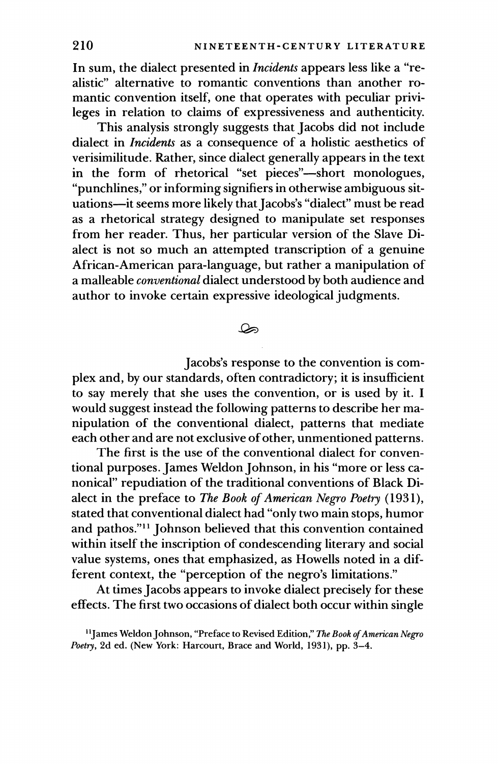In sum, the dialect presented in *Incidents* appears less like a "realistic" alternative to romantic conventions than another romantic convention itself, one that operates with peculiar privileges in relation to claims of expressiveness and authenticity.

This analysis strongly suggests that Jacobs did not include dialect in *Incidents* as a consequence of a holistic aesthetics of verisimilitude. Rather, since dialect generally appears in the text in the form of rhetorical "set pieces"-short monologues. "punchlines," or informing signifiers in otherwise ambiguous situations-it seems more likely that Jacobs's "dialect" must be read as a rhetorical strategy designed to manipulate set responses from her reader. Thus, her particular version of the Slave Dialect is not so much an attempted transcription of a genuine African-American para-language, but rather a manipulation of a malleable *conventional* dialect understood by both audience and author to invoke certain expressive ideological judgments.

## ھک

Jacobs's response to the convention is complex and, by our standards, often contradictory; it is insufficient to say merely that she uses the convention, or is used by it. I would suggest instead the following patterns to describe her manipulation of the conventional dialect, patterns that mediate each other and are not exclusive of other, unmentioned patterns.

The first is the use of the conventional dialect for conventional purposes. James Weldon Johnson, in his "more or less canonical" repudiation of the traditional conventions of Black Dialect in the preface to The Book of American Negro Poetry (1931), stated that conventional dialect had "only two main stops, humor and pathos."<sup>11</sup> Johnson believed that this convention contained within itself the inscription of condescending literary and social value systems, ones that emphasized, as Howells noted in a different context, the "perception of the negro's limitations."

At times Jacobs appears to invoke dialect precisely for these effects. The first two occasions of dialect both occur within single

<sup>&</sup>lt;sup>11</sup>James Weldon Johnson, "Preface to Revised Edition," The Book of American Negro Poetry, 2d ed. (New York: Harcourt, Brace and World, 1931), pp. 3-4.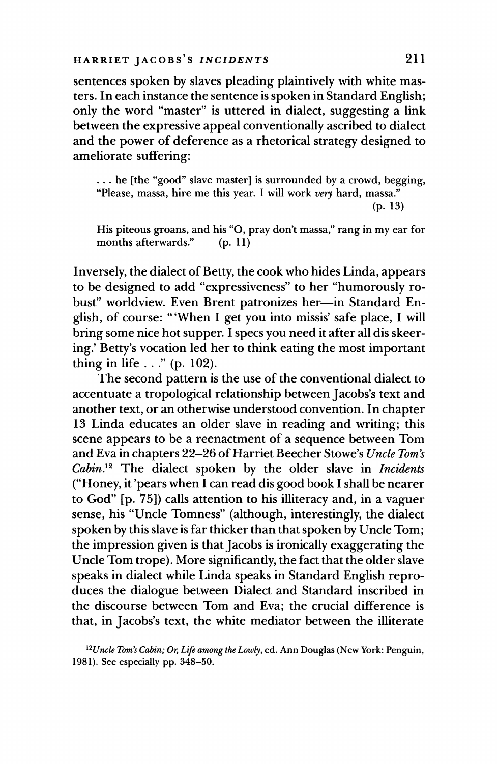sentences spoken by slaves pleading plaintively with white masters. In each instance the sentence is spoken in Standard English; only the word "master" is uttered in dialect, suggesting a link between the expressive appeal conventionally ascribed to dialect and the power of deference as a rhetorical strategy designed to ameliorate suffering:

 $\ldots$  he [the "good" slave master] is surrounded by a crowd, begging, "Please, massa, hire me this year. I will work very hard, massa."  $(p. 13)$ 

His piteous groans, and his "O, pray don't massa," rang in my ear for  $(p. 11)$ months afterwards."

Inversely, the dialect of Betty, the cook who hides Linda, appears to be designed to add "expressiveness" to her "humorously robust" worldview. Even Brent patronizes her-in Standard English, of course: "'When I get you into missis' safe place, I will bring some nice hot supper. I specs you need it after all dis skeering.' Betty's vocation led her to think eating the most important thing in life  $\ldots$ " (p. 102).

The second pattern is the use of the conventional dialect to accentuate a tropological relationship between Jacobs's text and another text, or an otherwise understood convention. In chapter 13 Linda educates an older slave in reading and writing; this scene appears to be a reenactment of a sequence between Tom and Eva in chapters 22-26 of Harriet Beecher Stowe's Uncle Tom's Cabin.<sup>12</sup> The dialect spoken by the older slave in Incidents ("Honey, it' pears when I can read dis good book I shall be nearer to God" [p. 75]) calls attention to his illiteracy and, in a vaguer sense, his "Uncle Tomness" (although, interestingly, the dialect spoken by this slave is far thicker than that spoken by Uncle Tom; the impression given is that Jacobs is ironically exaggerating the Uncle Tom trope). More significantly, the fact that the older slave speaks in dialect while Linda speaks in Standard English reproduces the dialogue between Dialect and Standard inscribed in the discourse between Tom and Eva; the crucial difference is that, in Jacobs's text, the white mediator between the illiterate

<sup>&</sup>lt;sup>12</sup>Uncle Tom's Cabin; Or, Life among the Lowly, ed. Ann Douglas (New York: Penguin, 1981). See especially pp. 348-50.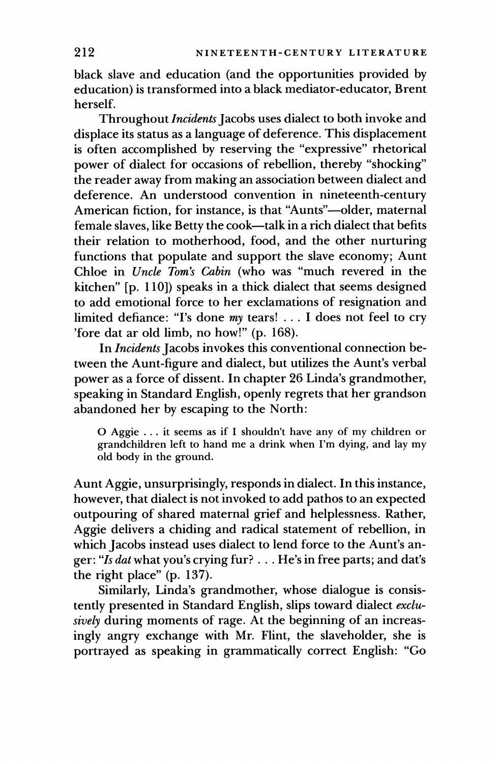black slave and education (and the opportunities provided by education) is transformed into a black mediator-educator, Brent herself.

Throughout Incidents Jacobs uses dialect to both invoke and I infoughout *Incuents* Jacobs uses dialect to both invoke and<br>displace its status as a language of deference. This displacement<br>is often accomplished by reserving the "expressive" rhetorical<br>power of dialect for occasions American fiction, for instance, is that "Aunts"-older, maternal female slaves, like Betty the cook-talk in a rich dialect that befits their relation to motherhood, food, and the other nurturing<br>functions that populate and support the slave economy; Aunt<br>Chloe in *Uncle Tom's Cabin* (who was "much revered in the kitchen" [p. 110]) speaks in a thick dialect that seems designed<br>to add emotional force to her exclamations of resignation and<br>limited defiance: "I's done my tears! . . . I does not feel to cry 'fore dat ar old limb, no how!" (p. 168).

In *Incidents* Jacobs invokes this conventional connection be-<br>tween the Aunt-figure and dialect, but utilizes the Aunt's verbal<br>power as a force of dissent. In chapter 26 Linda's grandmother,<br>speaking in Standard English, abandoned her by escaping to the North:

O Aggie ... it seems as if I shouldn't have any of my children or grandchildren left to hand me a drink when I'm dying, and lay my old body in the ground.

Aunt Aggie, unsurprisingly, responds in dialect. In this instance,<br>however, that dialect is not invoked to add pathos to an expected<br>outpouring of shared maternal grief and helplessness. Rather,<br>Aggie delivers a chiding a the right place" (p. 137).

Similarly, Linda's grandmother, whose dialogue is consistently presented in Standard English, slips toward dialect *exclusively* during moments of rage. At the beginning of an increasingly angry exchange with Mr. Flint, th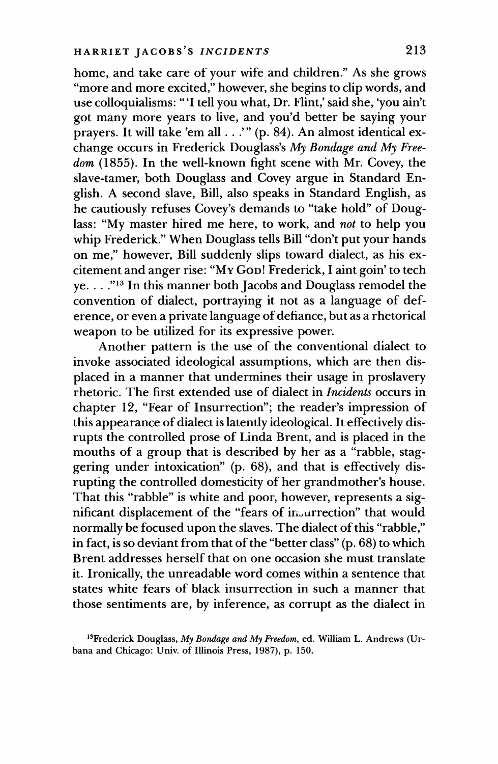home, and take care of your wife and children." As she grows "more and more excited," however, she begins to clip words, and use colloquialisms: "'I tell you what, Dr. Flint,' said she, 'you ain't got many more years to live, and you'd better be saying your prayers. It will take 'em all . . .'" (p. 84). An almost identical exchange occurs in Frederick Douglass's My Bondage and My Freedom (1855). In the well-known fight scene with Mr. Covev, the slave-tamer, both Douglass and Covey argue in Standard English. A second slave, Bill, also speaks in Standard English, as he cautiously refuses Covey's demands to "take hold" of Douglass: "My master hired me here, to work, and not to help you whip Frederick." When Douglass tells Bill "don't put your hands on me," however, Bill suddenly slips toward dialect, as his excitement and anger rise: "My Gop! Frederick, I aint goin' to tech ye...."<sup>13</sup> In this manner both Jacobs and Douglass remodel the convention of dialect, portraying it not as a language of deference, or even a private language of defiance, but as a rhetorical weapon to be utilized for its expressive power.

Another pattern is the use of the conventional dialect to invoke associated ideological assumptions, which are then displaced in a manner that undermines their usage in proslavery rhetoric. The first extended use of dialect in *Incidents* occurs in chapter 12, "Fear of Insurrection"; the reader's impression of this appearance of dialect is latently ideological. It effectively disrupts the controlled prose of Linda Brent, and is placed in the mouths of a group that is described by her as a "rabble, staggering under intoxication" (p. 68), and that is effectively disrupting the controlled domesticity of her grandmother's house. That this "rabble" is white and poor, however, represents a significant displacement of the "fears of in urrection" that would normally be focused upon the slaves. The dialect of this "rabble," in fact, is so deviant from that of the "better class" (p. 68) to which Brent addresses herself that on one occasion she must translate it. Ironically, the unreadable word comes within a sentence that states white fears of black insurrection in such a manner that those sentiments are, by inference, as corrupt as the dialect in

<sup>13</sup>Frederick Douglass, My Bondage and My Freedom, ed. William L. Andrews (Urbana and Chicago: Univ. of Illinois Press, 1987), p. 150.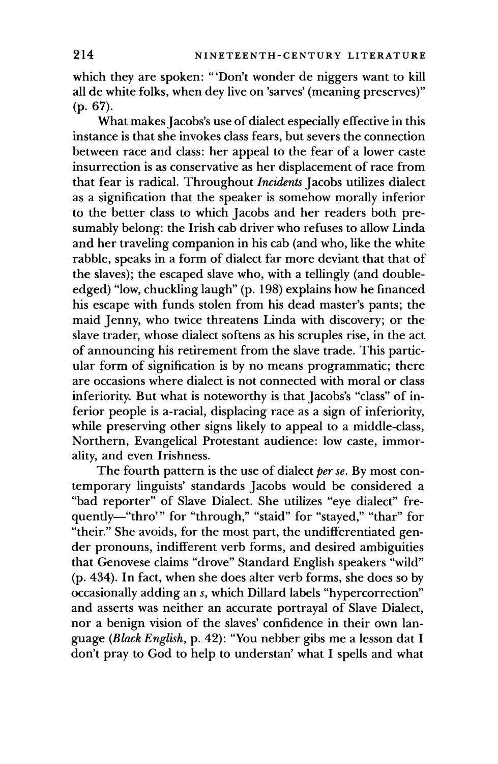which they are spoken: "'Don't wonder de niggers want to kill all de white folks, when dey live on 'sarves' (meaning preserves)"  $(p. 67).$ 

What makes Jacobs's use of dialect especially effective in this instance is that she invokes class fears, but severs the connection between race and class: her appeal to the fear of a lower caste insurrection is as conservative as her displacement of race from that fear is radical. Throughout Incidents Jacobs utilizes dialect as a signification that the speaker is somehow morally inferior to the better class to which Jacobs and her readers both presumably belong: the Irish cab driver who refuses to allow Linda and her traveling companion in his cab (and who, like the white rabble, speaks in a form of dialect far more deviant that that of the slaves); the escaped slave who, with a tellingly (and doubleedged) "low, chuckling laugh" (p. 198) explains how he financed his escape with funds stolen from his dead master's pants; the maid Jenny, who twice threatens Linda with discovery; or the slave trader, whose dialect softens as his scruples rise, in the act of announcing his retirement from the slave trade. This particular form of signification is by no means programmatic; there are occasions where dialect is not connected with moral or class inferiority. But what is noteworthy is that Jacobs's "class" of inferior people is a-racial, displacing race as a sign of inferiority, while preserving other signs likely to appeal to a middle-class, Northern, Evangelical Protestant audience: low caste, immorality, and even Irishness.

The fourth pattern is the use of dialect per se. By most contemporary linguists' standards Jacobs would be considered a "bad reporter" of Slave Dialect. She utilizes "eye dialect" frequently-"thro'" for "through," "staid" for "stayed," "thar" for "their." She avoids, for the most part, the undifferentiated gender pronouns, indifferent verb forms, and desired ambiguities that Genovese claims "drove" Standard English speakers "wild" (p. 434). In fact, when she does alter verb forms, she does so by occasionally adding an s, which Dillard labels "hypercorrection" and asserts was neither an accurate portrayal of Slave Dialect, nor a benign vision of the slaves' confidence in their own language (Black English, p. 42): "You nebber gibs me a lesson dat I don't pray to God to help to understan' what I spells and what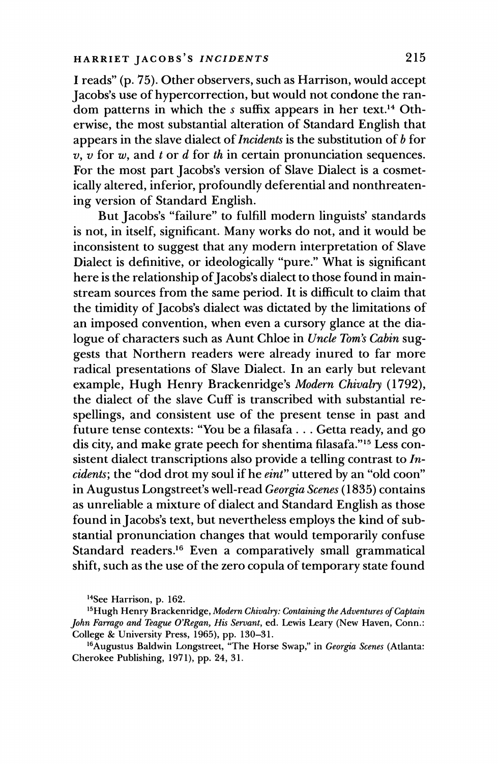I reads" (p. 75). Other observers, such as Harrison, would accept Jacobs's use of hypercorrection, but would not condone the random patterns in which the s suffix appears in her text.<sup>14</sup> Otherwise, the most substantial alteration of Standard English that appears in the slave dialect of *Incidents* is the substitution of  $b$  for  $\overline{v}$ ,  $\overline{v}$  for  $w$ , and t or d for th in certain pronunciation sequences. For the most part Jacobs's version of Slave Dialect is a cosmetically altered, inferior, profoundly deferential and nonthreatening version of Standard English.

But Jacobs's "failure" to fulfill modern linguists' standards is not, in itself, significant. Many works do not, and it would be inconsistent to suggest that any modern interpretation of Slave Dialect is definitive, or ideologically "pure." What is significant here is the relationship of Jacobs's dialect to those found in mainstream sources from the same period. It is difficult to claim that the timidity of Jacobs's dialect was dictated by the limitations of an imposed convention, when even a cursory glance at the dialogue of characters such as Aunt Chloe in Uncle Tom's Cabin suggests that Northern readers were already inured to far more radical presentations of Slave Dialect. In an early but relevant example, Hugh Henry Brackenridge's Modern Chivalry (1792), the dialect of the slave Cuff is transcribed with substantial respellings, and consistent use of the present tense in past and future tense contexts: "You be a filasafa . . . Getta ready, and go dis city, and make grate peech for shentima filasafa."<sup>15</sup> Less consistent dialect transcriptions also provide a telling contrast to  $In$ cidents; the "dod drot my soul if he eint" uttered by an "old coon" in Augustus Longstreet's well-read Georgia Scenes (1835) contains as unreliable a mixture of dialect and Standard English as those found in Jacobs's text, but nevertheless employs the kind of substantial pronunciation changes that would temporarily confuse Standard readers.<sup>16</sup> Even a comparatively small grammatical shift, such as the use of the zero copula of temporary state found

<sup>&</sup>lt;sup>14</sup>See Harrison, p. 162.

<sup>&</sup>lt;sup>15</sup> Hugh Henry Brackenridge, Modern Chivalry: Containing the Adventures of Captain John Farrago and Teague O'Regan, His Servant, ed. Lewis Leary (New Haven, Conn.: College & University Press, 1965), pp. 130-31.

<sup>&</sup>lt;sup>16</sup> Augustus Baldwin Longstreet, "The Horse Swap," in Georgia Scenes (Atlanta: Cherokee Publishing, 1971), pp. 24, 31.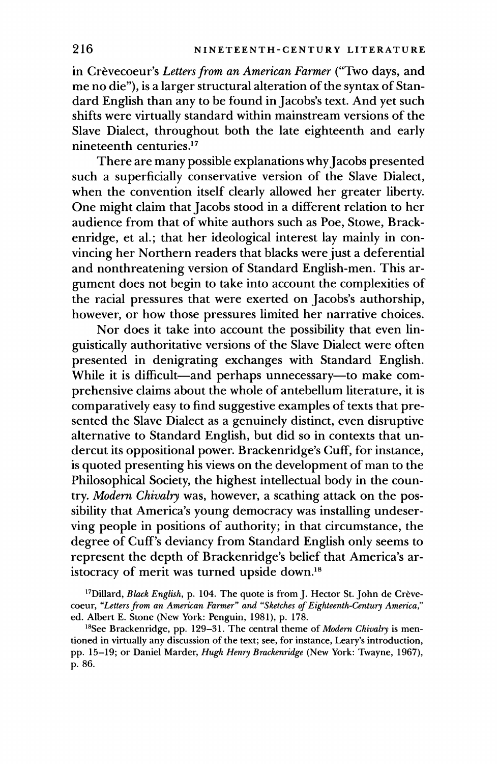in Crèvecoeur's Letters from an American Farmer ("Two days, and me no die"), is a larger structural alteration of the syntax of Standard English than any to be found in Jacobs's text. And yet such shifts were virtually standard within mainstream versions of the Slave Dialect, throughout both the late eighteenth and early nineteenth centuries.<sup>17</sup>

There are many possible explanations why Jacobs presented such a superficially conservative version of the Slave Dialect, when the convention itself clearly allowed her greater liberty. One might claim that Jacobs stood in a different relation to her audience from that of white authors such as Poe, Stowe, Brackenridge, et al.; that her ideological interest lay mainly in convincing her Northern readers that blacks were just a deferential and nonthreatening version of Standard English-men. This argument does not begin to take into account the complexities of the racial pressures that were exerted on Jacobs's authorship, however, or how those pressures limited her narrative choices.

Nor does it take into account the possibility that even linguistically authoritative versions of the Slave Dialect were often presented in denigrating exchanges with Standard English. While it is difficult—and perhaps unnecessary—to make comprehensive claims about the whole of antebellum literature, it is comparatively easy to find suggestive examples of texts that presented the Slave Dialect as a genuinely distinct, even disruptive alternative to Standard English, but did so in contexts that undercut its oppositional power. Brackenridge's Cuff, for instance, is quoted presenting his views on the development of man to the Philosophical Society, the highest intellectual body in the country. Modern Chivalry was, however, a scathing attack on the possibility that America's young democracy was installing undeserving people in positions of authority; in that circumstance, the degree of Cuff's deviancy from Standard English only seems to represent the depth of Brackenridge's belief that America's aristocracy of merit was turned upside down.<sup>18</sup>

<sup>17</sup>Dillard, *Black English*, p. 104. The quote is from J. Hector St. John de Crèvecoeur, "Letters from an American Farmer" and "Sketches of Eighteenth-Century America," ed. Albert E. Stone (New York: Penguin, 1981), p. 178.

<sup>18</sup>See Brackenridge, pp. 129–31. The central theme of *Modern Chivalry* is mentioned in virtually any discussion of the text; see, for instance, Leary's introduction, pp. 15-19; or Daniel Marder, Hugh Henry Brackenridge (New York: Twayne, 1967), p. 86.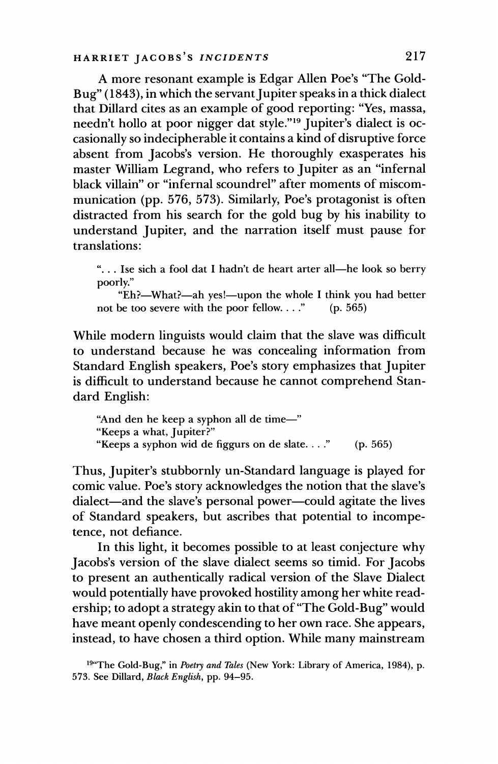A more resonant example is Edgar Allen Poe's "The Gold-Bug" (1843), in which the servant Jupiter speaks in a thick dialect that Dillard cites as an example of good reporting: "Yes, massa, needn't hollo at poor nigger dat style."<sup>19</sup> Jupiter's dialect is occasionally so indecipherable it contains a kind of disruptive force absent from Jacobs's version. He thoroughly exasperates his master William Legrand, who refers to Jupiter as an "infernal black villain" or "infernal scoundrel" after moments of miscommunication (pp. 576, 573). Similarly, Poe's protagonist is often distracted from his search for the gold bug by his inability to understand Jupiter, and the narration itself must pause for translations:

"... Ise sich a fool dat I hadn't de heart arter all—he look so berry poorly."

"Eh?-What?-ah yes!-upon the whole I think you had better not be too severe with the poor fellow...."  $(p. 565)$ 

While modern linguists would claim that the slave was difficult to understand because he was concealing information from Standard English speakers, Poe's story emphasizes that Jupiter is difficult to understand because he cannot comprehend Standard English:

"And den he keep a syphon all de time-" "Keeps a what, Jupiter?" "Keeps a syphon wid de figgurs on de slate...."  $(p. 565)$ 

Thus, Jupiter's stubbornly un-Standard language is played for comic value. Poe's story acknowledges the notion that the slave's dialect—and the slave's personal power—could agitate the lives of Standard speakers, but ascribes that potential to incompetence, not defiance.

In this light, it becomes possible to at least conjecture why Jacobs's version of the slave dialect seems so timid. For Jacobs to present an authentically radical version of the Slave Dialect would potentially have provoked hostility among her white readership; to adopt a strategy akin to that of "The Gold-Bug" would have meant openly condescending to her own race. She appears, instead, to have chosen a third option. While many mainstream

<sup>&</sup>lt;sup>194</sup>The Gold-Bug," in *Poetry and Tales* (New York: Library of America, 1984), p. 573. See Dillard, Black English, pp. 94-95.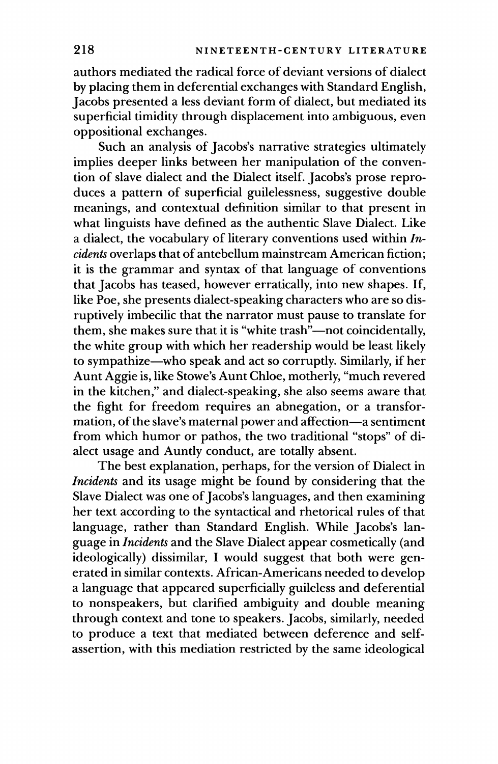authors mediated the radical force of deviant versions of dialect by placing them in deferential exchanges with Standard English, Jacobs presented a less deviant form of dialect, but mediated its superficial timidity through displacement into ambiguous, even oppositional exchanges.

Such an analysis of Jacobs's narrative strategies ultimately implies deeper links between her manipulation of the convention of slave dialect and the Dialect itself. Jacobs's prose reproduces a pattern of superficial guilelessness, suggestive double meanings, and contextual definition similar to that present in what linguists have defined as the authentic Slave Dialect. Like a dialect, the vocabulary of literary conventions used within  $In$ cidents overlaps that of antebellum mainstream American fiction; it is the grammar and syntax of that language of conventions that Jacobs has teased, however erratically, into new shapes. If, like Poe, she presents dialect-speaking characters who are so disruptively imbecilic that the narrator must pause to translate for them, she makes sure that it is "white trash"—not coincidentally, the white group with which her readership would be least likely to sympathize—who speak and act so corruptly. Similarly, if her Aunt Aggie is, like Stowe's Aunt Chloe, motherly, "much revered in the kitchen," and dialect-speaking, she also seems aware that the fight for freedom requires an abnegation, or a transformation, of the slave's maternal power and affection-a sentiment from which humor or pathos, the two traditional "stops" of dialect usage and Auntly conduct, are totally absent.

The best explanation, perhaps, for the version of Dialect in *Incidents* and its usage might be found by considering that the Slave Dialect was one of Jacobs's languages, and then examining her text according to the syntactical and rhetorical rules of that language, rather than Standard English. While Jacobs's language in *Incidents* and the Slave Dialect appear cosmetically (and ideologically) dissimilar, I would suggest that both were generated in similar contexts. African-Americans needed to develop a language that appeared superficially guileless and deferential to nonspeakers, but clarified ambiguity and double meaning through context and tone to speakers. Jacobs, similarly, needed to produce a text that mediated between deference and selfassertion, with this mediation restricted by the same ideological